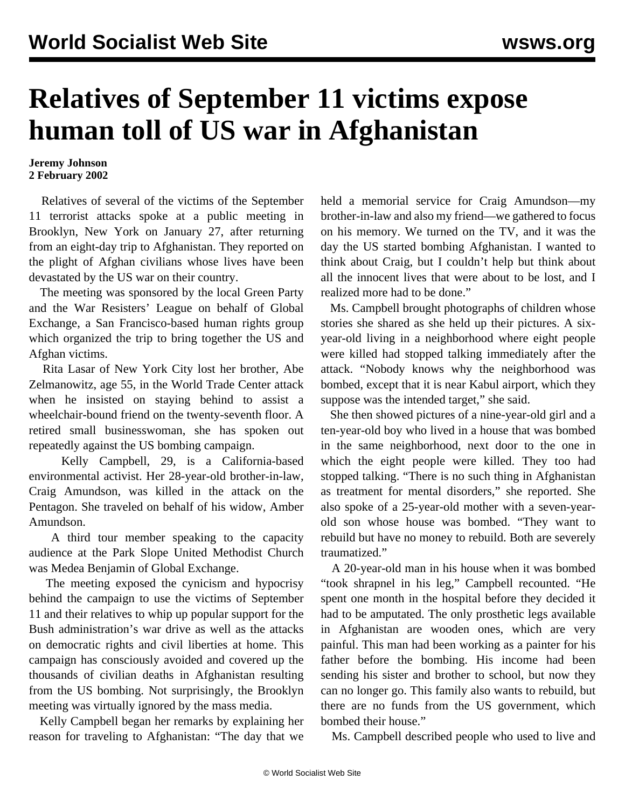## **Relatives of September 11 victims expose human toll of US war in Afghanistan**

## **Jeremy Johnson 2 February 2002**

 Relatives of several of the victims of the September 11 terrorist attacks spoke at a public meeting in Brooklyn, New York on January 27, after returning from an eight-day trip to Afghanistan. They reported on the plight of Afghan civilians whose lives have been devastated by the US war on their country.

 The meeting was sponsored by the local Green Party and the War Resisters' League on behalf of Global Exchange, a San Francisco-based human rights group which organized the trip to bring together the US and Afghan victims.

 Rita Lasar of New York City lost her brother, Abe Zelmanowitz, age 55, in the World Trade Center attack when he insisted on staying behind to assist a wheelchair-bound friend on the twenty-seventh floor. A retired small businesswoman, she has spoken out repeatedly against the US bombing campaign.

 Kelly Campbell, 29, is a California-based environmental activist. Her 28-year-old brother-in-law, Craig Amundson, was killed in the attack on the Pentagon. She traveled on behalf of his widow, Amber Amundson.

 A third tour member speaking to the capacity audience at the Park Slope United Methodist Church was Medea Benjamin of Global Exchange.

 The meeting exposed the cynicism and hypocrisy behind the campaign to use the victims of September 11 and their relatives to whip up popular support for the Bush administration's war drive as well as the attacks on democratic rights and civil liberties at home. This campaign has consciously avoided and covered up the thousands of civilian deaths in Afghanistan resulting from the US bombing. Not surprisingly, the Brooklyn meeting was virtually ignored by the mass media.

 Kelly Campbell began her remarks by explaining her reason for traveling to Afghanistan: "The day that we held a memorial service for Craig Amundson—my brother-in-law and also my friend—we gathered to focus on his memory. We turned on the TV, and it was the day the US started bombing Afghanistan. I wanted to think about Craig, but I couldn't help but think about all the innocent lives that were about to be lost, and I realized more had to be done."

 Ms. Campbell brought photographs of children whose stories she shared as she held up their pictures. A sixyear-old living in a neighborhood where eight people were killed had stopped talking immediately after the attack. "Nobody knows why the neighborhood was bombed, except that it is near Kabul airport, which they suppose was the intended target," she said.

 She then showed pictures of a nine-year-old girl and a ten-year-old boy who lived in a house that was bombed in the same neighborhood, next door to the one in which the eight people were killed. They too had stopped talking. "There is no such thing in Afghanistan as treatment for mental disorders," she reported. She also spoke of a 25-year-old mother with a seven-yearold son whose house was bombed. "They want to rebuild but have no money to rebuild. Both are severely traumatized."

 A 20-year-old man in his house when it was bombed "took shrapnel in his leg," Campbell recounted. "He spent one month in the hospital before they decided it had to be amputated. The only prosthetic legs available in Afghanistan are wooden ones, which are very painful. This man had been working as a painter for his father before the bombing. His income had been sending his sister and brother to school, but now they can no longer go. This family also wants to rebuild, but there are no funds from the US government, which bombed their house."

Ms. Campbell described people who used to live and